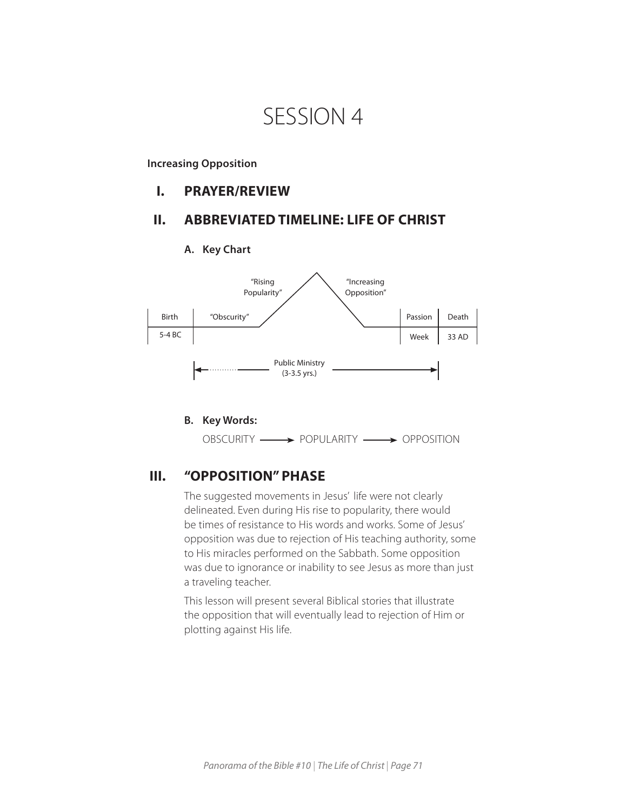# SESSION 4

**Increasing Opposition**

# **I. PRAYER/REVIEW**

# **II. ABBREVIATED TIMELINE: LIFE OF CHRIST**

**A. Key Chart**





# **III. "OPPOSITION" PHASE**

The suggested movements in Jesus' life were not clearly delineated. Even during His rise to popularity, there would be times of resistance to His words and works. Some of Jesus' opposition was due to rejection of His teaching authority, some to His miracles performed on the Sabbath. Some opposition was due to ignorance or inability to see Jesus as more than just a traveling teacher.

This lesson will present several Biblical stories that illustrate the opposition that will eventually lead to rejection of Him or plotting against His life.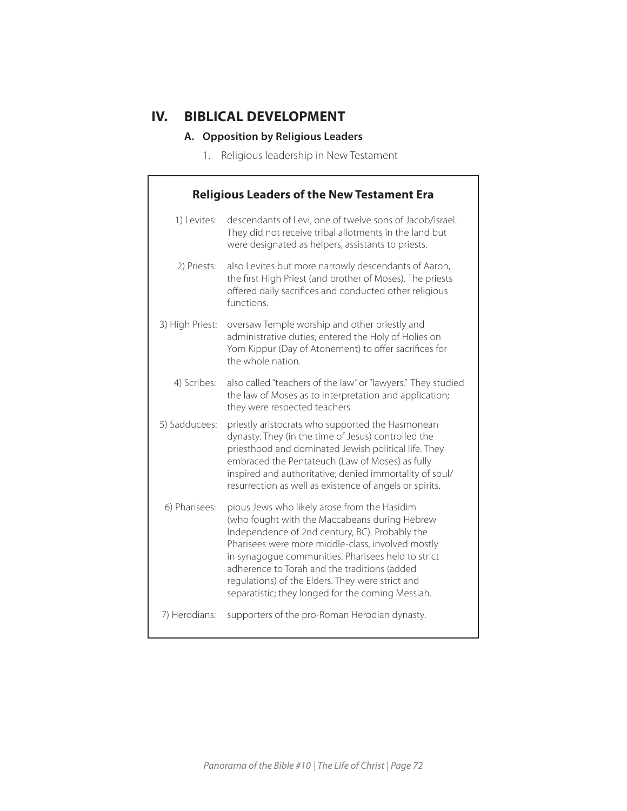# **IV. BIBLICAL DEVELOPMENT**

l,

# **A. Opposition by Religious Leaders**

1. Religious leadership in New Testament

| <b>Religious Leaders of the New Testament Era</b> |                                                                                                                                                                                                                                                                                                                                                                                                                     |
|---------------------------------------------------|---------------------------------------------------------------------------------------------------------------------------------------------------------------------------------------------------------------------------------------------------------------------------------------------------------------------------------------------------------------------------------------------------------------------|
| 1) Levites:                                       | descendants of Levi, one of twelve sons of Jacob/Israel.<br>They did not receive tribal allotments in the land but<br>were designated as helpers, assistants to priests.                                                                                                                                                                                                                                            |
| 2) Priests:                                       | also Levites but more narrowly descendants of Aaron,<br>the first High Priest (and brother of Moses). The priests<br>offered daily sacrifices and conducted other religious<br>functions.                                                                                                                                                                                                                           |
| 3) High Priest:                                   | oversaw Temple worship and other priestly and<br>administrative duties; entered the Holy of Holies on<br>Yom Kippur (Day of Atonement) to offer sacrifices for<br>the whole nation.                                                                                                                                                                                                                                 |
| 4) Scribes:                                       | also called "teachers of the law" or "lawyers." They studied<br>the law of Moses as to interpretation and application;<br>they were respected teachers.                                                                                                                                                                                                                                                             |
| 5) Sadducees:                                     | priestly aristocrats who supported the Hasmonean<br>dynasty. They (in the time of Jesus) controlled the<br>priesthood and dominated Jewish political life. They<br>embraced the Pentateuch (Law of Moses) as fully<br>inspired and authoritative; denied immortality of soul/<br>resurrection as well as existence of angels or spirits.                                                                            |
| 6) Pharisees:                                     | pious Jews who likely arose from the Hasidim<br>(who fought with the Maccabeans during Hebrew<br>Independence of 2nd century, BC). Probably the<br>Pharisees were more middle-class, involved mostly<br>in synagogue communities. Pharisees held to strict<br>adherence to Torah and the traditions (added<br>regulations) of the Elders. They were strict and<br>separatistic; they longed for the coming Messiah. |
| 7) Herodians:                                     | supporters of the pro-Roman Herodian dynasty.                                                                                                                                                                                                                                                                                                                                                                       |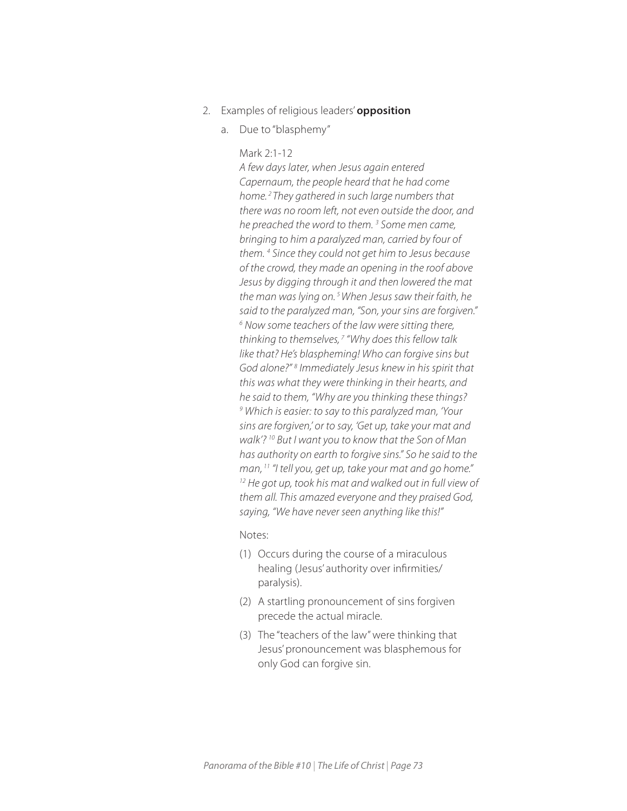- 2. Examples of religious leaders' **opposition**
	- a. Due to "blasphemy"

#### Mark 2:1-12

*A few days later, when Jesus again entered Capernaum, the people heard that he had come home. 2 They gathered in such large numbers that there was no room left, not even outside the door, and he preached the word to them. 3 Some men came, bringing to him a paralyzed man, carried by four of them. 4 Since they could not get him to Jesus because of the crowd, they made an opening in the roof above Jesus by digging through it and then lowered the mat the man was lying on. 5 When Jesus saw their faith, he said to the paralyzed man, "Son, your sins are forgiven." 6 Now some teachers of the law were sitting there, thinking to themselves, 7 "Why does this fellow talk like that? He's blaspheming! Who can forgive sins but God alone?" 8 Immediately Jesus knew in his spirit that this was what they were thinking in their hearts, and he said to them, "Why are you thinking these things? 9 Which is easier: to say to this paralyzed man, 'Your sins are forgiven,' or to say, 'Get up, take your mat and walk'? 10 But I want you to know that the Son of Man has authority on earth to forgive sins." So he said to the man, 11 "I tell you, get up, take your mat and go home." 12 He got up, took his mat and walked out in full view of them all. This amazed everyone and they praised God, saying, "We have never seen anything like this!"*

- (1) Occurs during the course of a miraculous healing (Jesus' authority over infirmities/ paralysis).
- (2) A startling pronouncement of sins forgiven precede the actual miracle.
- (3) The "teachers of the law" were thinking that Jesus' pronouncement was blasphemous for only God can forgive sin.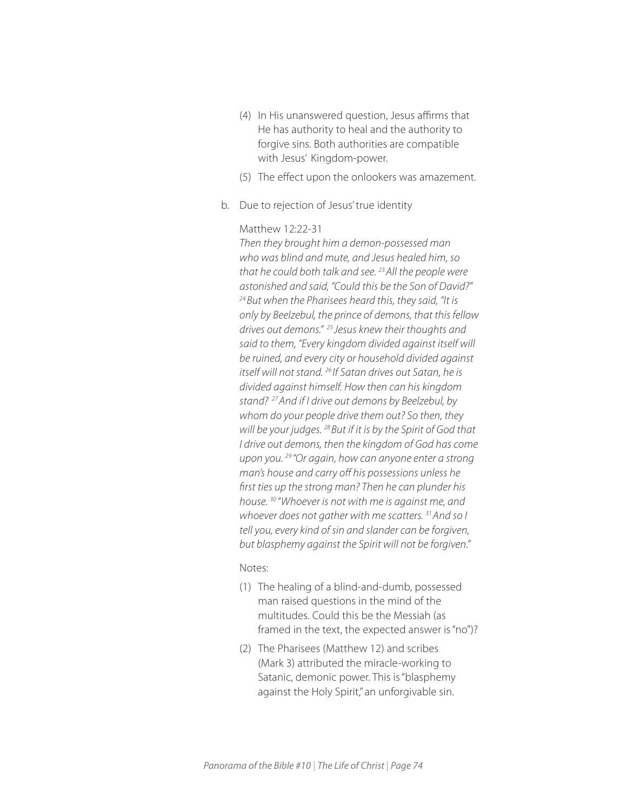- (4) In His unanswered question, Jesus affirms that He has authority to heal and the authority to forgive sins. Both authorities are compatible with Jesus' Kingdom-power.
- (5) The effect upon the onlookers was amazement.
- b. Due to rejection of Jesus' true identity

#### Matthew 12:22-31

*Then they brought him a demon-possessed man who was blind and mute, and Jesus healed him, so that he could both talk and see. 23 All the people were astonished and said, "Could this be the Son of David?" 24 But when the Pharisees heard this, they said, "It is only by Beelzebul, the prince of demons, that this fellow drives out demons." 25 Jesus knew their thoughts and said to them, "Every kingdom divided against itself will be ruined, and every city or household divided against itself will not stand. 26 If Satan drives out Satan, he is divided against himself. How then can his kingdom stand? 27 And if I drive out demons by Beelzebul, by whom do your people drive them out? So then, they will be your judges. 28 But if it is by the Spirit of God that I drive out demons, then the kingdom of God has come upon you. 29 "Or again, how can anyone enter a strong man's house and carry off his possessions unless he first ties up the strong man? Then he can plunder his house. 30 "Whoever is not with me is against me, and whoever does not gather with me scatters. 31 And so I tell you, every kind of sin and slander can be forgiven, but blasphemy against the Spirit will not be forgiven."*

- (1) The healing of a blind-and-dumb, possessed man raised questions in the mind of the multitudes. Could this be the Messiah (as framed in the text, the expected answer is "no")?
- (2) The Pharisees (Matthew 12) and scribes (Mark 3) attributed the miracle-working to Satanic, demonic power. This is "blasphemy against the Holy Spirit," an unforgivable sin.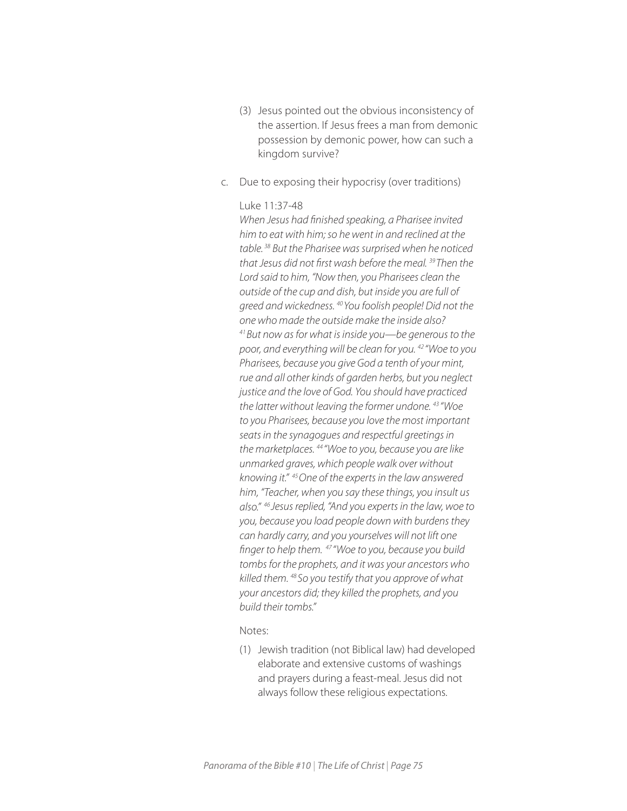- (3) Jesus pointed out the obvious inconsistency of the assertion. If Jesus frees a man from demonic possession by demonic power, how can such a kingdom survive?
- c. Due to exposing their hypocrisy (over traditions)

#### Luke 11:37-48

*When Jesus had finished speaking, a Pharisee invited him to eat with him; so he went in and reclined at the table. 38 But the Pharisee was surprised when he noticed that Jesus did not first wash before the meal. 39 Then the Lord said to him, "Now then, you Pharisees clean the outside of the cup and dish, but inside you are full of greed and wickedness. 40 You foolish people! Did not the one who made the outside make the inside also? 41 But now as for what is inside you—be generous to the poor, and everything will be clean for you. 42 "Woe to you Pharisees, because you give God a tenth of your mint, rue and all other kinds of garden herbs, but you neglect justice and the love of God. You should have practiced the latter without leaving the former undone. 43 "Woe to you Pharisees, because you love the most important seats in the synagogues and respectful greetings in the marketplaces. 44 "Woe to you, because you are like unmarked graves, which people walk over without knowing it." 45 One of the experts in the law answered him, "Teacher, when you say these things, you insult us also." 46 Jesus replied, "And you experts in the law, woe to you, because you load people down with burdens they can hardly carry, and you yourselves will not lift one finger to help them. 47 "Woe to you, because you build tombs for the prophets, and it was your ancestors who killed them. 48 So you testify that you approve of what your ancestors did; they killed the prophets, and you build their tombs."* 

#### Notes:

(1) Jewish tradition (not Biblical law) had developed elaborate and extensive customs of washings and prayers during a feast-meal. Jesus did not always follow these religious expectations.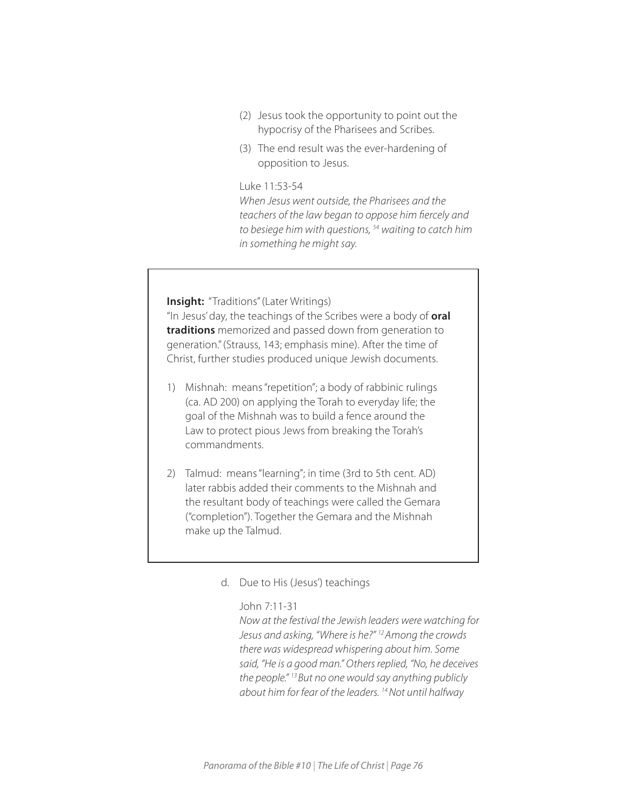- (2) Jesus took the opportunity to point out the hypocrisy of the Pharisees and Scribes.
- (3) The end result was the ever-hardening of opposition to Jesus.

#### Luke 11:53-54

*When Jesus went outside, the Pharisees and the teachers of the law began to oppose him fiercely and to besiege him with questions, 54 waiting to catch him in something he might say.* 

#### **Insight:** "Traditions" (Later Writings)

"In Jesus' day, the teachings of the Scribes were a body of **oral traditions** memorized and passed down from generation to generation." (Strauss, 143; emphasis mine). After the time of Christ, further studies produced unique Jewish documents.

- 1) Mishnah: means "repetition"; a body of rabbinic rulings (ca. AD 200) on applying the Torah to everyday life; the goal of the Mishnah was to build a fence around the Law to protect pious Jews from breaking the Torah's commandments.
- make up the Talmud. 2) Talmud: means "learning"; in time (3rd to 5th cent. AD) later rabbis added their comments to the Mishnah and the resultant body of teachings were called the Gemara ("completion"). Together the Gemara and the Mishnah

#### d. Due to His (Jesus') teachings

#### John 7:11-31

*Now at the festival the Jewish leaders were watching for Jesus and asking, "Where is he?" 12 Among the crowds there was widespread whispering about him. Some said, "He is a good man." Others replied, "No, he deceives the people." 13 But no one would say anything publicly about him for fear of the leaders. 14 Not until halfway*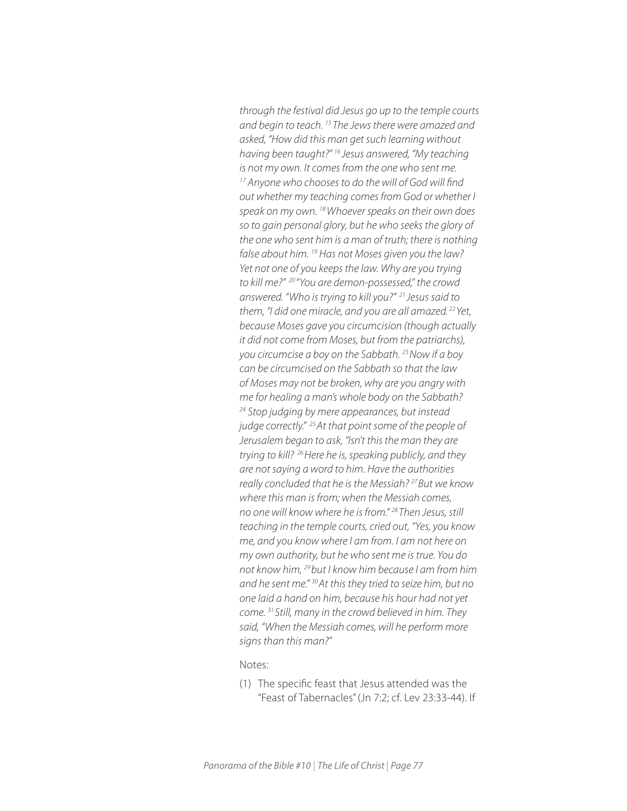*through the festival did Jesus go up to the temple courts and begin to teach. 15 The Jews there were amazed and asked, "How did this man get such learning without having been taught?" 16 Jesus answered, "My teaching is not my own. It comes from the one who sent me. 17 Anyone who chooses to do the will of God will find out whether my teaching comes from God or whether I speak on my own. 18 Whoever speaks on their own does so to gain personal glory, but he who seeks the glory of the one who sent him is a man of truth; there is nothing false about him. 19 Has not Moses given you the law? Yet not one of you keeps the law. Why are you trying to kill me?" 20 "You are demon-possessed," the crowd answered. "Who is trying to kill you?" 21 Jesus said to them, "I did one miracle, and you are all amazed. 22 Yet, because Moses gave you circumcision (though actually it did not come from Moses, but from the patriarchs), you circumcise a boy on the Sabbath. 23 Now if a boy can be circumcised on the Sabbath so that the law of Moses may not be broken, why are you angry with me for healing a man's whole body on the Sabbath? 24 Stop judging by mere appearances, but instead judge correctly." 25 At that point some of the people of Jerusalem began to ask, "Isn't this the man they are trying to kill? 26 Here he is, speaking publicly, and they are not saying a word to him. Have the authorities really concluded that he is the Messiah? 27 But we know where this man is from; when the Messiah comes, no one will know where he is from." 28 Then Jesus, still teaching in the temple courts, cried out, "Yes, you know me, and you know where I am from. I am not here on my own authority, but he who sent me is true. You do not know him, 29 but I know him because I am from him and he sent me." 30 At this they tried to seize him, but no one laid a hand on him, because his hour had not yet come. 31 Still, many in the crowd believed in him. They said, "When the Messiah comes, will he perform more signs than this man?"* 

Notes:

(1) The specific feast that Jesus attended was the "Feast of Tabernacles" (Jn 7:2; cf. Lev 23:33-44). If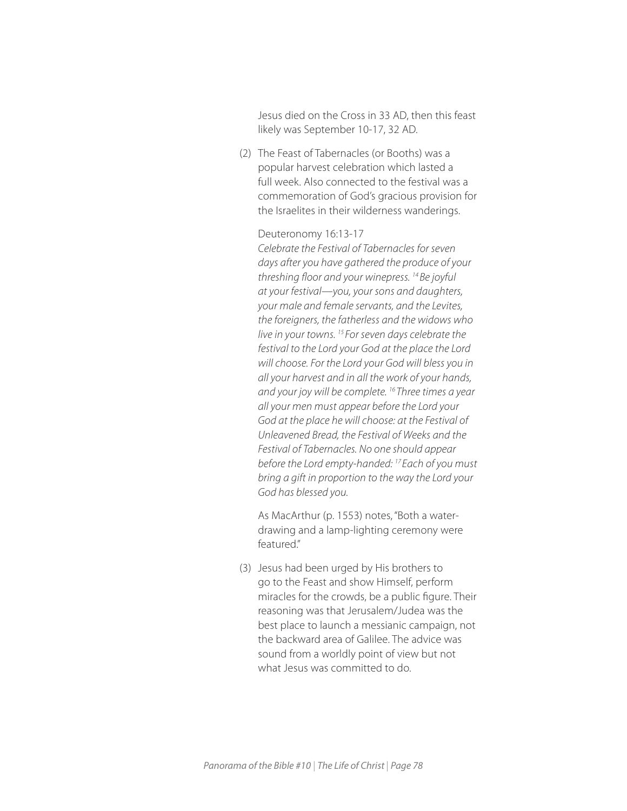Jesus died on the Cross in 33 AD, then this feast likely was September 10-17, 32 AD.

(2) The Feast of Tabernacles (or Booths) was a popular harvest celebration which lasted a full week. Also connected to the festival was a commemoration of God's gracious provision for the Israelites in their wilderness wanderings.

#### Deuteronomy 16:13-17

*Celebrate the Festival of Tabernacles for seven days after you have gathered the produce of your threshing floor and your winepress. 14 Be joyful at your festival—you, your sons and daughters, your male and female servants, and the Levites, the foreigners, the fatherless and the widows who live in your towns. 15 For seven days celebrate the festival to the Lord your God at the place the Lord will choose. For the Lord your God will bless you in all your harvest and in all the work of your hands, and your joy will be complete. 16 Three times a year all your men must appear before the Lord your God at the place he will choose: at the Festival of Unleavened Bread, the Festival of Weeks and the Festival of Tabernacles. No one should appear before the Lord empty-handed: 17 Each of you must bring a gift in proportion to the way the Lord your God has blessed you.* 

As MacArthur (p. 1553) notes, "Both a waterdrawing and a lamp-lighting ceremony were featured."

(3) Jesus had been urged by His brothers to go to the Feast and show Himself, perform miracles for the crowds, be a public figure. Their reasoning was that Jerusalem/Judea was the best place to launch a messianic campaign, not the backward area of Galilee. The advice was sound from a worldly point of view but not what Jesus was committed to do.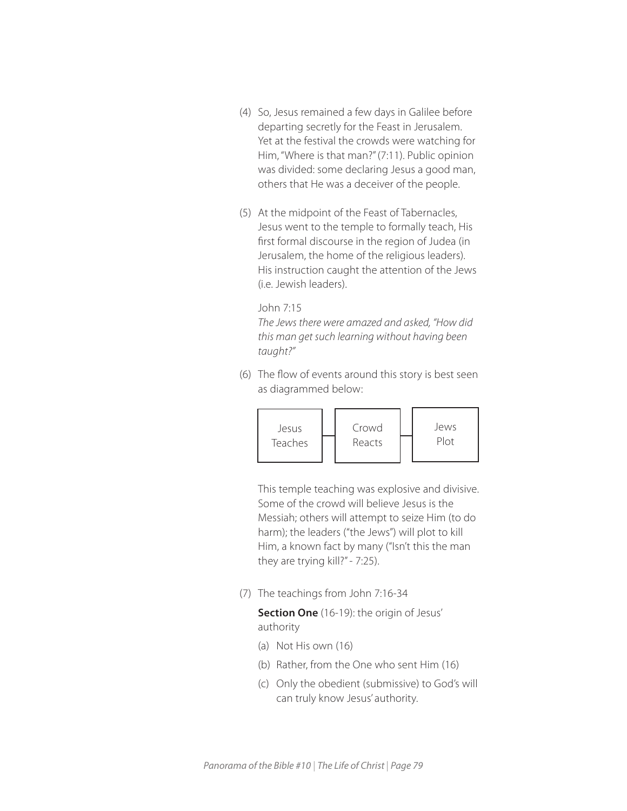- (4) So, Jesus remained a few days in Galilee before departing secretly for the Feast in Jerusalem. Yet at the festival the crowds were watching for Him, "Where is that man?" (7:11). Public opinion was divided: some declaring Jesus a good man, others that He was a deceiver of the people.
- (5) At the midpoint of the Feast of Tabernacles, Jesus went to the temple to formally teach, His first formal discourse in the region of Judea (in Jerusalem, the home of the religious leaders). His instruction caught the attention of the Jews (i.e. Jewish leaders).

#### John 7:15

*The Jews there were amazed and asked, "How did this man get such learning without having been taught?"* 

(6) The flow of events around this story is best seen as diagrammed below:



This temple teaching was explosive and divisive. Some of the crowd will believe Jesus is the Messiah; others will attempt to seize Him (to do harm); the leaders ("the Jews") will plot to kill Him, a known fact by many ("Isn't this the man they are trying kill?" - 7:25).

(7) The teachings from John 7:16-34

**Section One** (16-19): the origin of Jesus' authority

- (a) Not His own (16)
- (b) Rather, from the One who sent Him (16)
- (c) Only the obedient (submissive) to God's will can truly know Jesus' authority.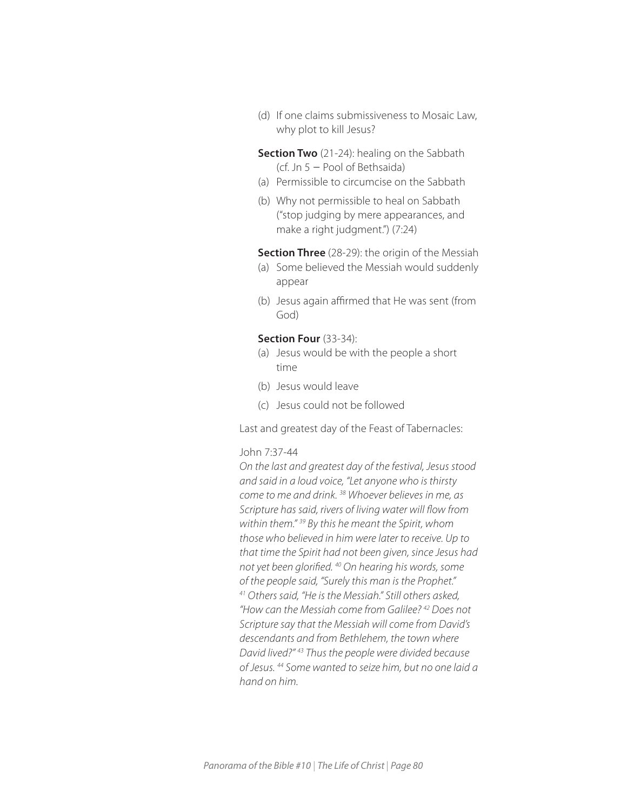(d) If one claims submissiveness to Mosaic Law, why plot to kill Jesus?

**Section Two** (21-24): healing on the Sabbath (cf. Jn 5 − Pool of Bethsaida)

- (a) Permissible to circumcise on the Sabbath
- (b) Why not permissible to heal on Sabbath ("stop judging by mere appearances, and make a right judgment.") (7:24)

**Section Three** (28-29): the origin of the Messiah

- (a) Some believed the Messiah would suddenly appear
- (b) Jesus again affirmed that He was sent (from God)

#### **Section Four** (33-34):

- (a) Jesus would be with the people a short time
- (b) Jesus would leave
- (c) Jesus could not be followed

Last and greatest day of the Feast of Tabernacles:

#### John 7:37-44

*On the last and greatest day of the festival, Jesus stood and said in a loud voice, "Let anyone who is thirsty come to me and drink. 38 Whoever believes in me, as Scripture has said, rivers of living water will flow from within them." 39 By this he meant the Spirit, whom those who believed in him were later to receive. Up to that time the Spirit had not been given, since Jesus had not yet been glorified. 40 On hearing his words, some of the people said, "Surely this man is the Prophet." 41 Others said, "He is the Messiah." Still others asked, "How can the Messiah come from Galilee? 42 Does not Scripture say that the Messiah will come from David's descendants and from Bethlehem, the town where David lived?" 43 Thus the people were divided because of Jesus. 44 Some wanted to seize him, but no one laid a hand on him.*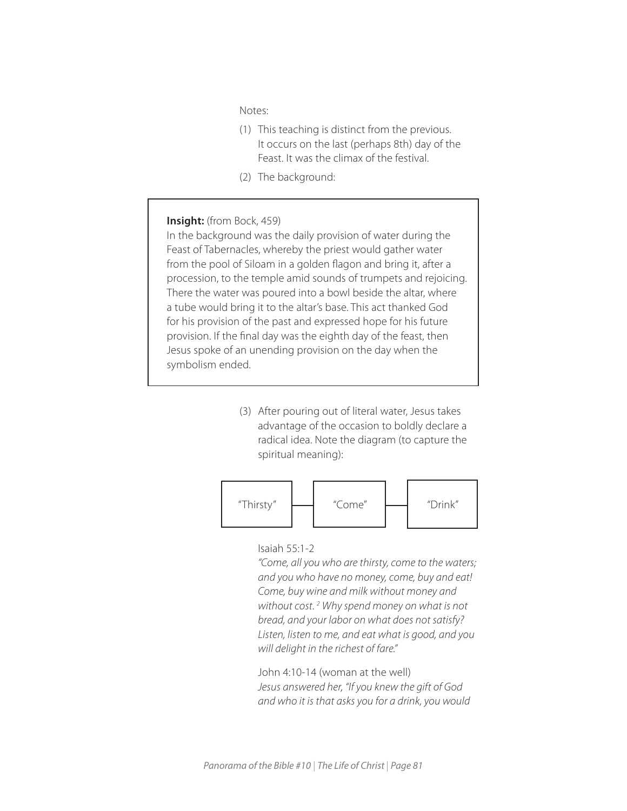Notes:

- (1) This teaching is distinct from the previous. It occurs on the last (perhaps 8th) day of the Feast. It was the climax of the festival.
- (2) The background:

### **Insight:** (from Bock, 459)

I

I

In the background was the daily provision of water during the Feast of Tabernacles, whereby the priest would gather water from the pool of Siloam in a golden flagon and bring it, after a procession, to the temple amid sounds of trumpets and rejoicing. There the water was poured into a bowl beside the altar, where a tube would bring it to the altar's base. This act thanked God for his provision of the past and expressed hope for his future provision. If the final day was the eighth day of the feast, then Jesus spoke of an unending provision on the day when the symbolism ended.

> (3) After pouring out of literal water, Jesus takes advantage of the occasion to boldly declare a radical idea. Note the diagram (to capture the spiritual meaning):



### Isaiah 55:1-2

*"Come, all you who are thirsty, come to the waters; and you who have no money, come, buy and eat! Come, buy wine and milk without money and without cost. 2 Why spend money on what is not bread, and your labor on what does not satisfy? Listen, listen to me, and eat what is good, and you will delight in the richest of fare."*

John 4:10-14 (woman at the well) *Jesus answered her, "If you knew the gift of God and who it is that asks you for a drink, you would*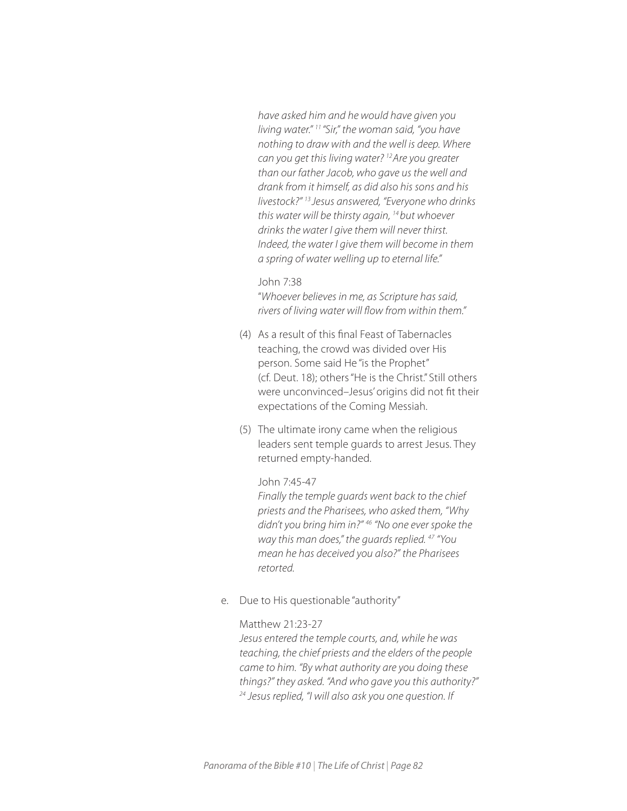*have asked him and he would have given you living water." 11 "Sir," the woman said, "you have nothing to draw with and the well is deep. Where can you get this living water? 12 Are you greater than our father Jacob, who gave us the well and drank from it himself, as did also his sons and his livestock?" 13 Jesus answered, "Everyone who drinks this water will be thirsty again, 14 but whoever drinks the water I give them will never thirst. Indeed, the water I give them will become in them a spring of water welling up to eternal life."* 

#### John 7:38

"*Whoever believes in me, as Scripture has said, rivers of living water will flow from within them."* 

- (4) As a result of this final Feast of Tabernacles teaching, the crowd was divided over His person. Some said He "is the Prophet" (cf. Deut. 18); others "He is the Christ." Still others were unconvinced–Jesus' origins did not fit their expectations of the Coming Messiah.
- (5) The ultimate irony came when the religious leaders sent temple guards to arrest Jesus. They returned empty-handed.

#### John 7:45-47

*Finally the temple guards went back to the chief priests and the Pharisees, who asked them, "Why didn't you bring him in?" 46 "No one ever spoke the way this man does," the guards replied. 47 "You mean he has deceived you also?" the Pharisees retorted.*

e. Due to His questionable "authority"

#### Matthew 21:23-27

*Jesus entered the temple courts, and, while he was teaching, the chief priests and the elders of the people came to him. "By what authority are you doing these things?" they asked. "And who gave you this authority?" 24 Jesus replied, "I will also ask you one question. If*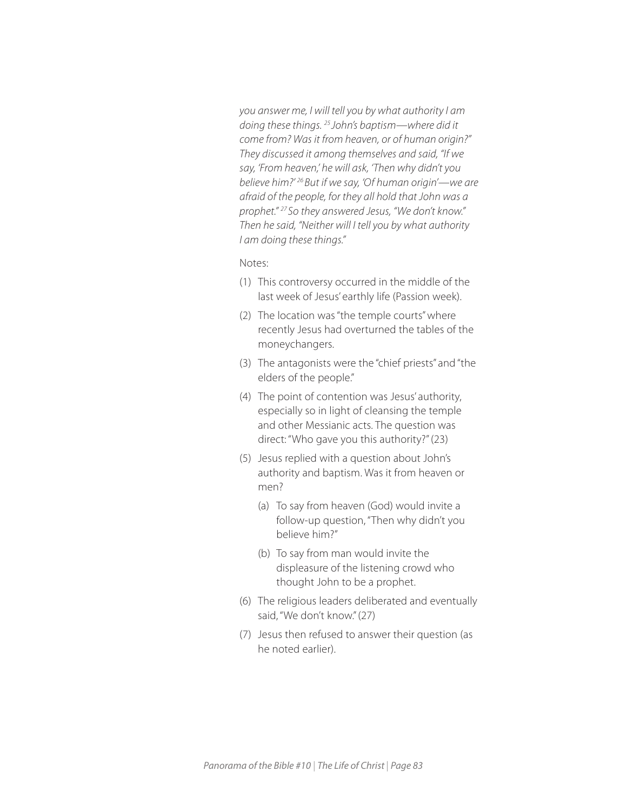*you answer me, I will tell you by what authority I am doing these things. 25 John's baptism—where did it come from? Was it from heaven, or of human origin?" They discussed it among themselves and said, "If we say, 'From heaven,' he will ask, 'Then why didn't you believe him?' 26 But if we say, 'Of human origin'—we are afraid of the people, for they all hold that John was a prophet." 27 So they answered Jesus, "We don't know." Then he said, "Neither will I tell you by what authority I am doing these things."*

- (1) This controversy occurred in the middle of the last week of Jesus' earthly life (Passion week).
- (2) The location was "the temple courts" where recently Jesus had overturned the tables of the moneychangers.
- (3) The antagonists were the "chief priests" and "the elders of the people."
- (4) The point of contention was Jesus' authority, especially so in light of cleansing the temple and other Messianic acts. The question was direct: "Who gave you this authority?" (23)
- (5) Jesus replied with a question about John's authority and baptism. Was it from heaven or men?
	- (a) To say from heaven (God) would invite a follow-up question, "Then why didn't you believe him?"
	- (b) To say from man would invite the displeasure of the listening crowd who thought John to be a prophet.
- (6) The religious leaders deliberated and eventually said, "We don't know." (27)
- (7) Jesus then refused to answer their question (as he noted earlier).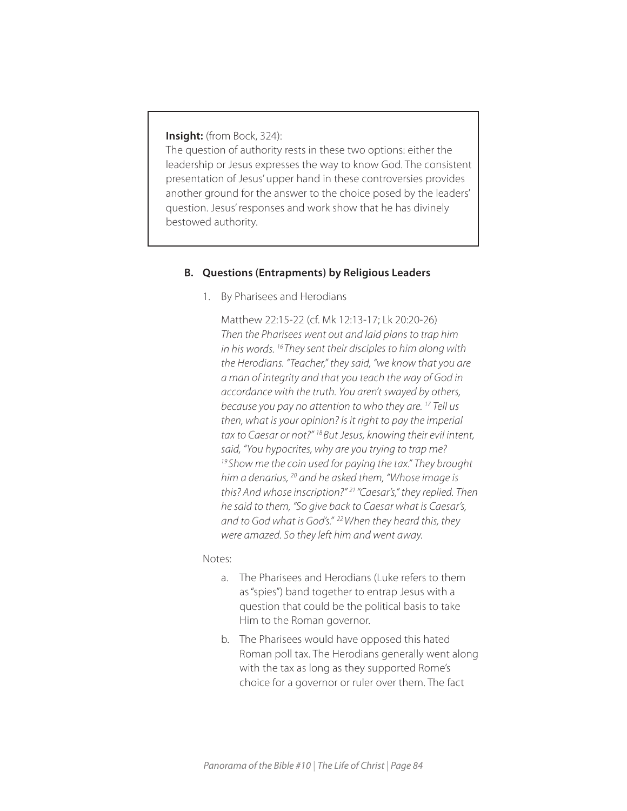**Insight:** (from Bock, 324):

The question of authority rests in these two options: either the leadership or Jesus expresses the way to know God. The consistent presentation of Jesus' upper hand in these controversies provides another ground for the answer to the choice posed by the leaders' question. Jesus' responses and work show that he has divinely bestowed authority.

#### **B. Questions (Entrapments) by Religious Leaders**

1. By Pharisees and Herodians

Matthew 22:15-22 (cf. Mk 12:13-17; Lk 20:20-26) *Then the Pharisees went out and laid plans to trap him in his words. 16 They sent their disciples to him along with the Herodians. "Teacher," they said, "we know that you are a man of integrity and that you teach the way of God in accordance with the truth. You aren't swayed by others, because you pay no attention to who they are. 17 Tell us then, what is your opinion? Is it right to pay the imperial tax to Caesar or not?" 18 But Jesus, knowing their evil intent, said, "You hypocrites, why are you trying to trap me? 19 Show me the coin used for paying the tax." They brought him a denarius, 20 and he asked them, "Whose image is this? And whose inscription?" 21 "Caesar's," they replied. Then he said to them, "So give back to Caesar what is Caesar's, and to God what is God's." 22 When they heard this, they were amazed. So they left him and went away.*

- a. The Pharisees and Herodians (Luke refers to them as "spies") band together to entrap Jesus with a question that could be the political basis to take Him to the Roman governor.
- b. The Pharisees would have opposed this hated Roman poll tax. The Herodians generally went along with the tax as long as they supported Rome's choice for a governor or ruler over them. The fact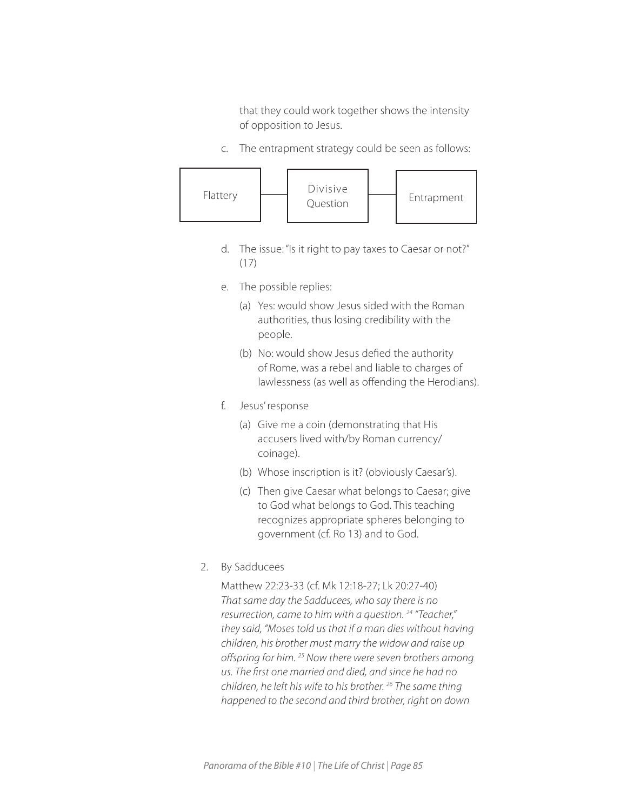that they could work together shows the intensity of opposition to Jesus.

c. The entrapment strategy could be seen as follows:



- d. The issue: "Is it right to pay taxes to Caesar or not?" (17)
- e. The possible replies:
	- (a) Yes: would show Jesus sided with the Roman authorities, thus losing credibility with the people.
	- (b) No: would show Jesus defied the authority of Rome, was a rebel and liable to charges of lawlessness (as well as offending the Herodians).
- f. Jesus' response
	- (a) Give me a coin (demonstrating that His accusers lived with/by Roman currency/ coinage).
	- (b) Whose inscription is it? (obviously Caesar's).
	- (c) Then give Caesar what belongs to Caesar; give to God what belongs to God. This teaching recognizes appropriate spheres belonging to government (cf. Ro 13) and to God.
- 2. By Sadducees

Matthew 22:23-33 (cf. Mk 12:18-27; Lk 20:27-40) *That same day the Sadducees, who say there is no resurrection, came to him with a question. 24 "Teacher," they said, "Moses told us that if a man dies without having children, his brother must marry the widow and raise up offspring for him. 25 Now there were seven brothers among us. The first one married and died, and since he had no children, he left his wife to his brother. 26 The same thing happened to the second and third brother, right on down*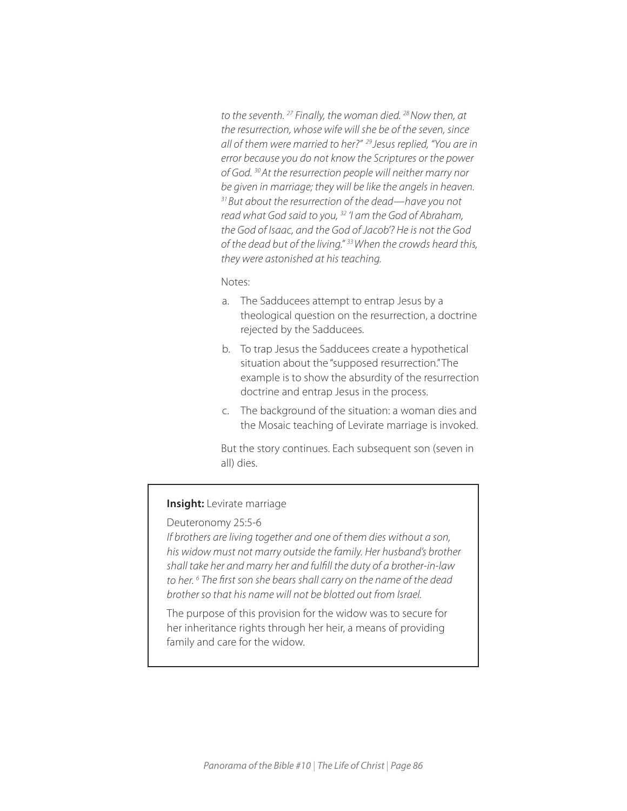*to the seventh. 27 Finally, the woman died. 28 Now then, at the resurrection, whose wife will she be of the seven, since all of them were married to her?" 29 Jesus replied, "You are in error because you do not know the Scriptures or the power of God. 30 At the resurrection people will neither marry nor be given in marriage; they will be like the angels in heaven. 31 But about the resurrection of the dead—have you not read what God said to you, 32 'I am the God of Abraham, the God of Isaac, and the God of Jacob'? He is not the God of the dead but of the living." 33 When the crowds heard this, they were astonished at his teaching.* 

Notes:

- a. The Sadducees attempt to entrap Jesus by a theological question on the resurrection, a doctrine rejected by the Sadducees.
- b. To trap Jesus the Sadducees create a hypothetical situation about the "supposed resurrection." The example is to show the absurdity of the resurrection doctrine and entrap Jesus in the process.
- c. The background of the situation: a woman dies and the Mosaic teaching of Levirate marriage is invoked.

But the story continues. Each subsequent son (seven in all) dies.

#### **Insight:** Levirate marriage

Deuteronomy 25:5-6

*If brothers are living together and one of them dies without a son, his widow must not marry outside the family. Her husband's brother shall take her and marry her and fulfill the duty of a brother-in-law to her. 6 The first son she bears shall carry on the name of the dead brother so that his name will not be blotted out from Israel.* 

The purpose of this provision for the widow was to secure for her inheritance rights through her heir, a means of providing family and care for the widow.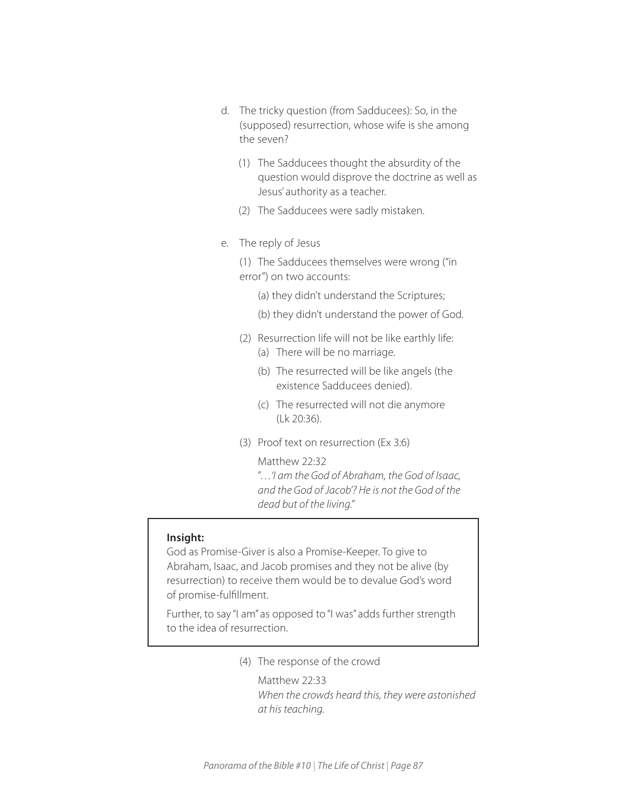- d. The tricky question (from Sadducees): So, in the (supposed) resurrection, whose wife is she among the seven?
	- (1) The Sadducees thought the absurdity of the question would disprove the doctrine as well as Jesus' authority as a teacher.
	- (2) The Sadducees were sadly mistaken.
- e. The reply of Jesus

(1) The Sadducees themselves were wrong ("in error") on two accounts:

(a) they didn't understand the Scriptures;

- (b) they didn't understand the power of God.
- (2) Resurrection life will not be like earthly life:
	- (a) There will be no marriage.
	- (b) The resurrected will be like angels (the existence Sadducees denied).
	- (c) The resurrected will not die anymore (Lk 20:36).
- (3) Proof text on resurrection (Ex 3:6)

#### Matthew 22:32

"…*'I am the God of Abraham, the God of Isaac, and the God of Jacob'? He is not the God of the dead but of the living."*

#### **Insight:**

God as Promise-Giver is also a Promise-Keeper. To give to Abraham, Isaac, and Jacob promises and they not be alive (by resurrection) to receive them would be to devalue God's word of promise-fulfillment.

Further, to say "I am" as opposed to "I was" adds further strength to the idea of resurrection.

(4) The response of the crowd

Matthew 22:33 *When the crowds heard this, they were astonished at his teaching.*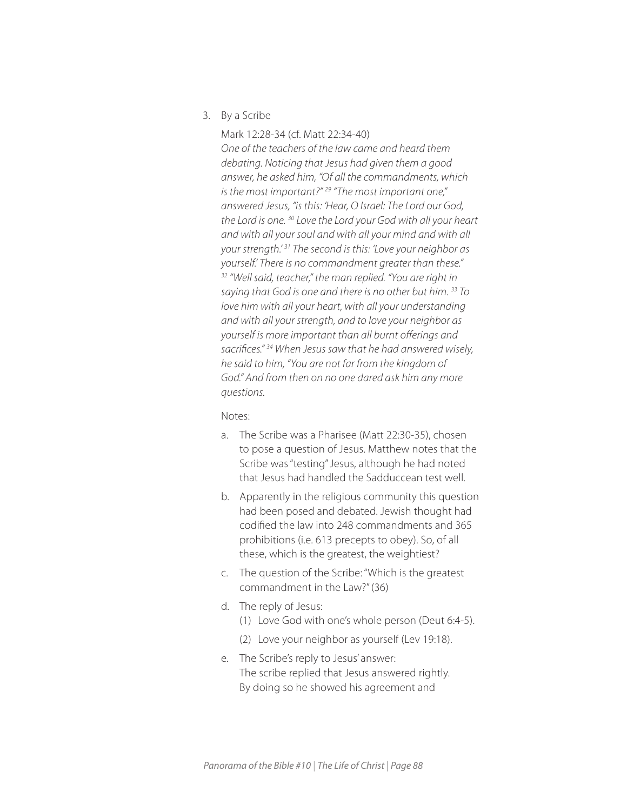3. By a Scribe

Mark 12:28-34 (cf. Matt 22:34-40)

*One of the teachers of the law came and heard them debating. Noticing that Jesus had given them a good answer, he asked him, "Of all the commandments, which is the most important?" 29 "The most important one," answered Jesus, "is this: 'Hear, O Israel: The Lord our God, the Lord is one. 30 Love the Lord your God with all your heart and with all your soul and with all your mind and with all your strength.' 31 The second is this: 'Love your neighbor as yourself.' There is no commandment greater than these." 32 "Well said, teacher," the man replied. "You are right in saying that God is one and there is no other but him. 33 To love him with all your heart, with all your understanding and with all your strength, and to love your neighbor as yourself is more important than all burnt offerings and sacrifices." 34 When Jesus saw that he had answered wisely, he said to him, "You are not far from the kingdom of God." And from then on no one dared ask him any more questions.*

- a. The Scribe was a Pharisee (Matt 22:30-35), chosen to pose a question of Jesus. Matthew notes that the Scribe was "testing" Jesus, although he had noted that Jesus had handled the Sadduccean test well.
- b. Apparently in the religious community this question had been posed and debated. Jewish thought had codified the law into 248 commandments and 365 prohibitions (i.e. 613 precepts to obey). So, of all these, which is the greatest, the weightiest?
- c. The question of the Scribe: "Which is the greatest commandment in the Law?" (36)
- d. The reply of Jesus:
	- (1) Love God with one's whole person (Deut 6:4-5).
	- (2) Love your neighbor as yourself (Lev 19:18).
- e. The Scribe's reply to Jesus' answer: The scribe replied that Jesus answered rightly. By doing so he showed his agreement and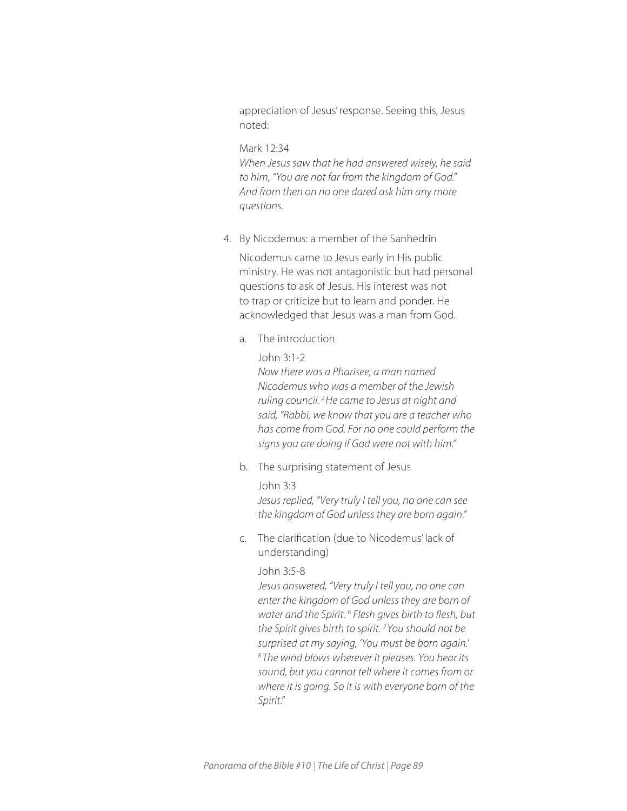appreciation of Jesus' response. Seeing this, Jesus noted:

#### Mark 12:34

*When Jesus saw that he had answered wisely, he said to him, "You are not far from the kingdom of God." And from then on no one dared ask him any more questions.*

4. By Nicodemus: a member of the Sanhedrin

Nicodemus came to Jesus early in His public ministry. He was not antagonistic but had personal questions to ask of Jesus. His interest was not to trap or criticize but to learn and ponder. He acknowledged that Jesus was a man from God.

- a. The introduction
	- John 3:1-2

*Now there was a Pharisee, a man named Nicodemus who was a member of the Jewish ruling council. 2 He came to Jesus at night and said, "Rabbi, we know that you are a teacher who has come from God. For no one could perform the signs you are doing if God were not with him."* 

- b. The surprising statement of Jesus
	- John 3:3

*Jesus replied, "Very truly I tell you, no one can see the kingdom of God unless they are born again."*

c. The clarification (due to Nicodemus' lack of understanding)

### John 3:5-8

*Jesus answered, "Very truly I tell you, no one can enter the kingdom of God unless they are born of water and the Spirit. 6 Flesh gives birth to flesh, but the Spirit gives birth to spirit. 7 You should not be surprised at my saying, 'You must be born again.' 8 The wind blows wherever it pleases. You hear its sound, but you cannot tell where it comes from or where it is going. So it is with everyone born of the Spirit."*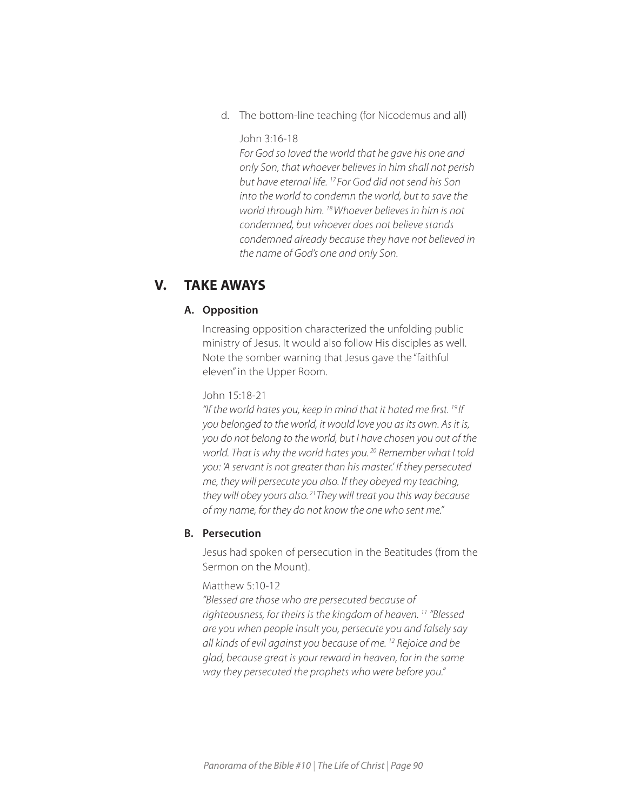d. The bottom-line teaching (for Nicodemus and all)

### John 3:16-18

*For God so loved the world that he gave his one and only Son, that whoever believes in him shall not perish but have eternal life. 17 For God did not send his Son into the world to condemn the world, but to save the world through him. 18 Whoever believes in him is not condemned, but whoever does not believe stands condemned already because they have not believed in the name of God's one and only Son.*

# **V. TAKE AWAYS**

## **A. Opposition**

Increasing opposition characterized the unfolding public ministry of Jesus. It would also follow His disciples as well. Note the somber warning that Jesus gave the "faithful eleven" in the Upper Room.

John 15:18-21

*"If the world hates you, keep in mind that it hated me first. 19 If you belonged to the world, it would love you as its own. As it is, you do not belong to the world, but I have chosen you out of the world. That is why the world hates you. 20 Remember what I told you: 'A servant is not greater than his master.' If they persecuted me, they will persecute you also. If they obeyed my teaching, they will obey yours also. 21 They will treat you this way because of my name, for they do not know the one who sent me."*

#### **B. Persecution**

Jesus had spoken of persecution in the Beatitudes (from the Sermon on the Mount).

### Matthew 5:10-12

*"Blessed are those who are persecuted because of righteousness, for theirs is the kingdom of heaven. 11 "Blessed are you when people insult you, persecute you and falsely say all kinds of evil against you because of me. 12 Rejoice and be glad, because great is your reward in heaven, for in the same way they persecuted the prophets who were before you."*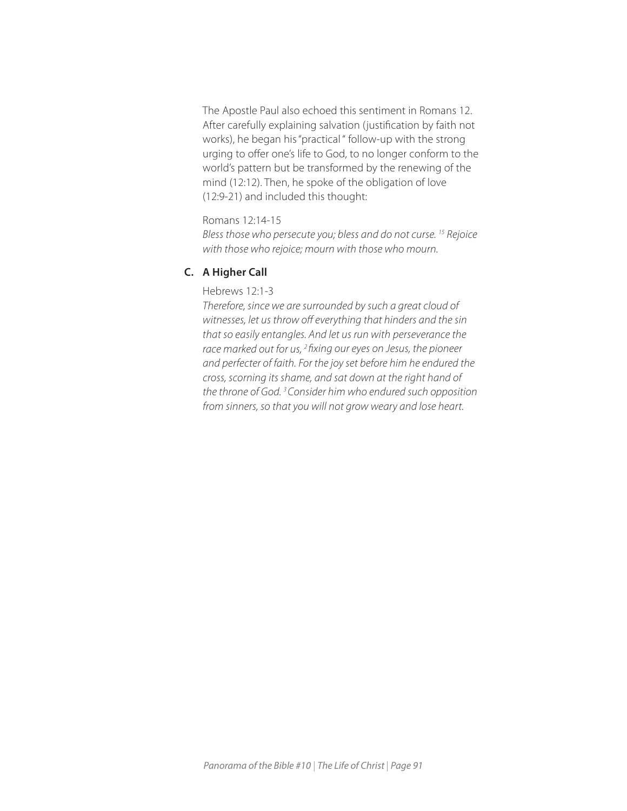The Apostle Paul also echoed this sentiment in Romans 12. After carefully explaining salvation (justification by faith not works), he began his "practical " follow-up with the strong urging to offer one's life to God, to no longer conform to the world's pattern but be transformed by the renewing of the mind (12:12). Then, he spoke of the obligation of love (12:9-21) and included this thought:

### Romans 12:14-15

*Bless those who persecute you; bless and do not curse. 15 Rejoice with those who rejoice; mourn with those who mourn.*

## **C. A Higher Call**

Hebrews 12:1-3

*Therefore, since we are surrounded by such a great cloud of witnesses, let us throw off everything that hinders and the sin that so easily entangles. And let us run with perseverance the*  race marked out for us, <sup>2</sup> fixing our eyes on Jesus, the pioneer *and perfecter of faith. For the joy set before him he endured the cross, scorning its shame, and sat down at the right hand of the throne of God. 3 Consider him who endured such opposition from sinners, so that you will not grow weary and lose heart.*